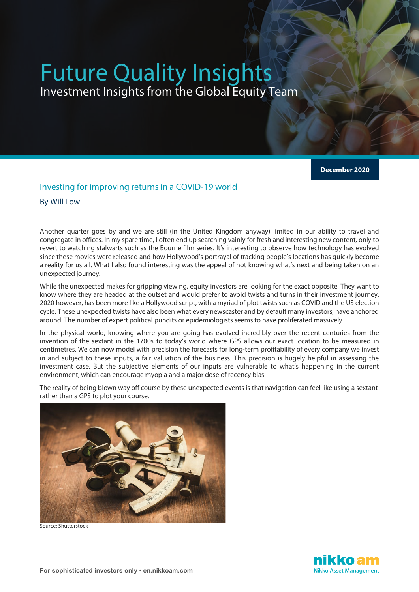# Future Quality Insights Investment Insights from the Global Equity Team

**December 2020**

#### Investing for improving returns in a COVID-19 world

By Will Low

Another quarter goes by and we are still (in the United Kingdom anyway) limited in our ability to travel and congregate in offices. In my spare time, I often end up searching vainly for fresh and interesting new content, only to revert to watching stalwarts such as the Bourne film series. It's interesting to observe how technology has evolved since these movies were released and how Hollywood's portrayal of tracking people's locations has quickly become a reality for us all. What I also found interesting was the appeal of not knowing what's next and being taken on an unexpected journey.

While the unexpected makes for gripping viewing, equity investors are looking for the exact opposite. They want to know where they are headed at the outset and would prefer to avoid twists and turns in their investment journey. 2020 however, has been more like a Hollywood script, with a myriad of plot twists such as COVID and the US election cycle. These unexpected twists have also been what every newscaster and by default many investors, have anchored around. The number of expert political pundits or epidemiologists seems to have proliferated massively.

In the physical world, knowing where you are going has evolved incredibly over the recent centuries from the invention of the sextant in the 1700s to today's world where GPS allows our exact location to be measured in centimetres. We can now model with precision the forecasts for long-term profitability of every company we invest in and subject to these inputs, a fair valuation of the business. This precision is hugely helpful in assessing the investment case. But the subjective elements of our inputs are vulnerable to what's happening in the current environment, which can encourage myopia and a major dose of recency bias.

The reality of being blown way off course by these unexpected events is that navigation can feel like using a sextant rather than a GPS to plot your course.



Source: Shutterstock

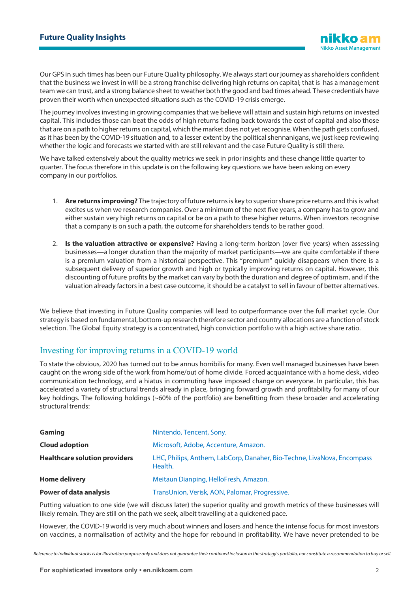Our GPS in such times has been our Future Quality philosophy. We always start our journey as shareholders confident that the business we invest in will be a strong franchise delivering high returns on capital; that is has a management team we can trust, and a strong balance sheet to weather both the good and bad times ahead. These credentials have proven their worth when unexpected situations such as the COVID-19 crisis emerge.

The journey involves investing in growing companies that we believe will attain and sustain high returns on invested capital. This includes those can beat the odds of high returns fading back towards the cost of capital and also those that are on a path to higher returns on capital, which the market does not yet recognise. When the path gets confused, as it has been by the COVID-19 situation and, to a lesser extent by the political shennanigans, we just keep reviewing whether the logic and forecasts we started with are still relevant and the case Future Quality is still there.

We have talked extensively about the quality metrics we seek in prior insights and these change little quarter to quarter. The focus therefore in this update is on the following key questions we have been asking on every company in our portfolios.

- 1. **Are returns improving?** The trajectory of future returns is key to superior share price returns and this is what excites us when we research companies. Over a minimum of the next five years, a company has to grow and either sustain very high returns on capital or be on a path to these higher returns. When investors recognise that a company is on such a path, the outcome for shareholders tends to be rather good.
- 2. **Is the valuation attractive or expensive?** Having a long-term horizon (over five years) when assessing businesses—a longer duration than the majority of market participants—we are quite comfortable if there is a premium valuation from a historical perspective. This "premium" quickly disappears when there is a subsequent delivery of superior growth and high or typically improving returns on capital. However, this discounting of future profits by the market can vary by both the duration and degree of optimism, and if the valuation already factors in a best case outcome, it should be a catalyst to sell in favour of better alternatives.

We believe that investing in Future Quality companies will lead to outperformance over the full market cycle. Our strategy is based on fundamental, bottom-up research therefore sector and country allocations are a function of stock selection. The Global Equity strategy is a concentrated, high conviction portfolio with a high active share ratio.

#### Investing for improving returns in a COVID-19 world

To state the obvious, 2020 has turned out to be annus horribilis for many. Even well managed businesses have been caught on the wrong side of the work from home/out of home divide. Forced acquaintance with a home desk, video communication technology, and a hiatus in commuting have imposed change on everyone. In particular, this has accelerated a variety of structural trends already in place, bringing forward growth and profitability for many of our key holdings. The following holdings (~60% of the portfolio) are benefitting from these broader and accelerating structural trends:

| Gaming                               | Nintendo, Tencent, Sony.                                                           |
|--------------------------------------|------------------------------------------------------------------------------------|
| <b>Cloud adoption</b>                | Microsoft, Adobe, Accenture, Amazon.                                               |
| <b>Healthcare solution providers</b> | LHC, Philips, Anthem, LabCorp, Danaher, Bio-Techne, LivaNova, Encompass<br>Health. |
| <b>Home delivery</b>                 | Meitaun Dianping, HelloFresh, Amazon.                                              |
| <b>Power of data analysis</b>        | TransUnion, Verisk, AON, Palomar, Progressive.                                     |

Putting valuation to one side (we will discuss later) the superior quality and growth metrics of these businesses will likely remain. They are still on the path we seek, albeit travelling at a quickened pace.

However, the COVID-19 world is very much about winners and losers and hence the intense focus for most investors on vaccines, a normalisation of activity and the hope for rebound in profitability. We have never pretended to be

*Reference to individual stocks is for illustration purpose only and does not guarantee their continued inclusion in the strategy's portfolio, nor constitute a recommendation to buy or sell.*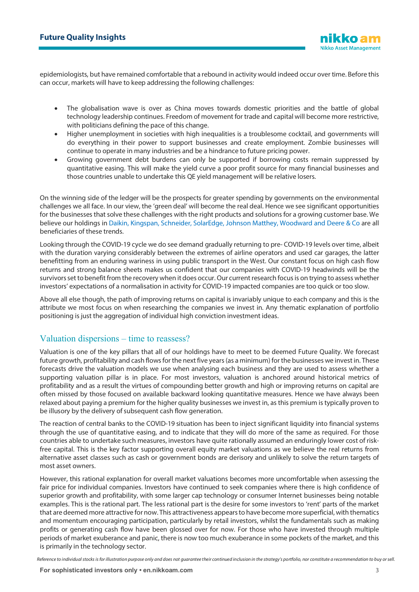epidemiologists, but have remained comfortable that a rebound in activity would indeed occur over time. Before this can occur, markets will have to keep addressing the following challenges:

- The globalisation wave is over as China moves towards domestic priorities and the battle of global technology leadership continues. Freedom of movement for trade and capital will become more restrictive, with politicians defining the pace of this change.
- Higher unemployment in societies with high inequalities is a troublesome cocktail, and governments will do everything in their power to support businesses and create employment. Zombie businesses will continue to operate in many industries and be a hindrance to future pricing power.
- Growing government debt burdens can only be supported if borrowing costs remain suppressed by quantitative easing. This will make the yield curve a poor profit source for many financial businesses and those countries unable to undertake this QE yield management will be relative losers.

On the winning side of the ledger will be the prospects for greater spending by governments on the environmental challenges we all face. In our view, the 'green deal' will become the real deal. Hence we see significant opportunities for the businesses that solve these challenges with the right products and solutions for a growing customer base. We believe our holdings in Daikin, Kingspan, Schneider, SolarEdge, Johnson Matthey, Woodward and Deere & Co are all beneficiaries of these trends.

Looking through the COVID-19 cycle we do see demand gradually returning to pre- COVID-19 levels over time, albeit with the duration varying considerably between the extremes of airline operators and used car garages, the latter benefitting from an enduring wariness in using public transport in the West. Our constant focus on high cash flow returns and strong balance sheets makes us confident that our companies with COVID-19 headwinds will be the survivors set to benefit from the recovery when it does occur. Our current research focus is on trying to assess whether investors' expectations of a normalisation in activity for COVID-19 impacted companies are too quick or too slow.

Above all else though, the path of improving returns on capital is invariably unique to each company and this is the attribute we most focus on when researching the companies we invest in. Any thematic explanation of portfolio positioning is just the aggregation of individual high conviction investment ideas.

#### Valuation dispersions – time to reassess?

Valuation is one of the key pillars that all of our holdings have to meet to be deemed Future Quality. We forecast future growth, profitability and cash flows for the next five years (as a minimum) for the businesses we invest in. These forecasts drive the valuation models we use when analysing each business and they are used to assess whether a supporting valuation pillar is in place. For most investors, valuation is anchored around historical metrics of profitability and as a result the virtues of compounding better growth and high or improving returns on capital are often missed by those focused on available backward looking quantitative measures. Hence we have always been relaxed about paying a premium for the higher quality businesses we invest in, as this premium is typically proven to be illusory by the delivery of subsequent cash flow generation.

The reaction of central banks to the COVID-19 situation has been to inject significant liquidity into financial systems through the use of quantitative easing, and to indicate that they will do more of the same as required. For those countries able to undertake such measures, investors have quite rationally assumed an enduringly lower cost of riskfree capital. This is the key factor supporting overall equity market valuations as we believe the real returns from alternative asset classes such as cash or government bonds are derisory and unlikely to solve the return targets of most asset owners.

However, this rational explanation for overall market valuations becomes more uncomfortable when assessing the fair price for individual companies. Investors have continued to seek companies where there is high confidence of superior growth and profitability, with some larger cap technology or consumer Internet businesses being notable examples. This is the rational part. The less rational part is the desire for some investors to 'rent' parts of the market that are deemed more attractive for now. This attractiveness appears to have become more superficial, with thematics and momentum encouraging participation, particularly by retail investors, whilst the fundamentals such as making profits or generating cash flow have been glossed over for now. For those who have invested through multiple periods of market exuberance and panic, there is now too much exuberance in some pockets of the market, and this is primarily in the technology sector.

*Reference to individual stocks is for illustration purpose only and does not guarantee their continued inclusion in the strategy's portfolio, nor constitute a recommendation to buy or sell.*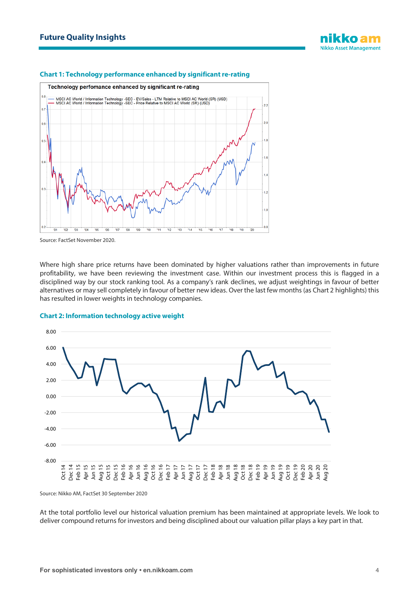

#### **Chart 1: Technology performance enhanced by significant re-rating**

Source: FactSet November 2020.

Where high share price returns have been dominated by higher valuations rather than improvements in future profitability, we have been reviewing the investment case. Within our investment process this is flagged in a disciplined way by our stock ranking tool. As a company's rank declines, we adjust weightings in favour of better alternatives or may sell completely in favour of better new ideas. Over the last few months (as Chart 2 highlights) this has resulted in lower weights in technology companies.



#### **Chart 2: Information technology active weight**

Source: Nikko AM, FactSet 30 September 2020

At the total portfolio level our historical valuation premium has been maintained at appropriate levels. We look to deliver compound returns for investors and being disciplined about our valuation pillar plays a key part in that.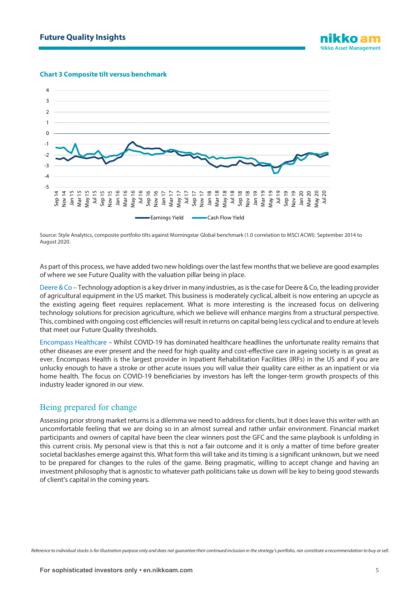#### **Chart 3 Composite tilt versus benchmark**



Source: Style Analytics, composite portfolio tilts against Morningstar Global benchmark (1.0 correlation to MSCI ACWI). September 2014 to August 2020.

As part of this process, we have added two new holdings over the last few months that we believe are good examples of where we see Future Quality with the valuation pillar being in place.

Deere & Co – Technology adoption is a key driver in many industries, as is the case for Deere & Co, the leading provider of agricultural equipment in the US market. This business is moderately cyclical, albeit is now entering an upcycle as the existing ageing fleet requires replacement. What is more interesting is the increased focus on delivering technology solutions for precision agriculture, which we believe will enhance margins from a structural perspective. This, combined with ongoing cost efficiencies will result in returns on capital being less cyclical and to endure at levels that meet our Future Quality thresholds.

Encompass Healthcare – Whilst COVID-19 has dominated healthcare headlines the unfortunate reality remains that other diseases are ever present and the need for high quality and cost-effective care in ageing society is as great as ever. Encompass Health is the largest provider in Inpatient Rehabilitation Facilities (IRFs) in the US and if you are unlucky enough to have a stroke or other acute issues you will value their quality care either as an inpatient or via home health. The focus on COVID-19 beneficiaries by investors has left the longer-term growth prospects of this industry leader ignored in our view.

#### Being prepared for change

Assessing prior strong market returns is a dilemma we need to address for clients, but it does leave this writer with an uncomfortable feeling that we are doing so in an almost surreal and rather unfair environment. Financial market participants and owners of capital have been the clear winners post the GFC and the same playbook is unfolding in this current crisis. My personal view is that this is not a fair outcome and it is only a matter of time before greater societal backlashes emerge against this. What form this will take and its timing is a significant unknown, but we need to be prepared for changes to the rules of the game. Being pragmatic, willing to accept change and having an investment philosophy that is agnostic to whatever path politicians take us down will be key to being good stewards of client's capital in the coming years.

*Reference to individual stocks is for illustration purpose only and does not guarantee their continued inclusion in the strategy's portfolio, nor constitute a recommendation to buy or sell.*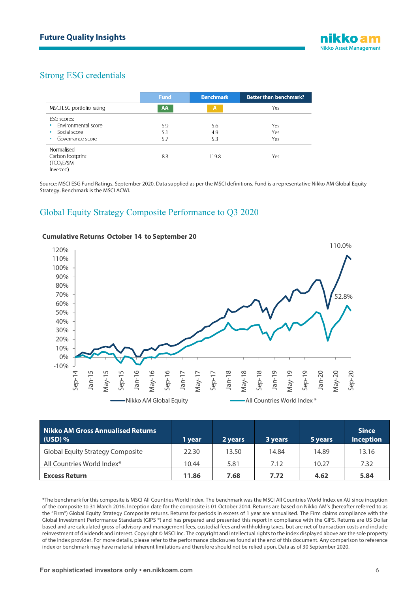## Strong ESG credentials

|                                  | <b>Fund</b> | <b>Benchmark</b> | <b>Better than benchmark?</b> |
|----------------------------------|-------------|------------------|-------------------------------|
| MSCI ESG portfolio rating        | AA          | $\mathbf{A}$     | Yes                           |
| ESG scores:                      |             |                  |                               |
| Environmental score<br>$\bullet$ | 5.9         | 5.6              | Yes                           |
| Social score<br>$\bullet$        | 5.1         | 4.9              | Yes                           |
| Governance score<br>$\bullet$    | 5.7         | 5.3              | Yes                           |
| Normalised                       |             |                  |                               |
| Carbon footprint                 | 8.3         | 119.8            | Yes                           |
| (TCO <sub>2</sub> E/\$M          |             |                  |                               |
| Invested)                        |             |                  |                               |

Source: MSCI ESG Fund Ratings, September 2020. Data supplied as per the MSCI definitions. Fund is a representative Nikko AM Global Equity Strategy. Benchmark is the MSCI ACWI.

## Global Equity Strategy Composite Performance to Q3 2020



#### **Cumulative Returns October 14 to September 20**

| Nikko AM Gross Annualised Returns<br>$(USD)$ % | 1 vear | 2 years | 3 years | 5 years | <b>Since</b><br><b>Inception</b> |
|------------------------------------------------|--------|---------|---------|---------|----------------------------------|
| <b>Global Equity Strategy Composite</b>        | 22.30  | 13.50   | 14.84   | 14.89   | 13.16                            |
| All Countries World Index*                     | 10.44  | 5.81    | 7.12    | 10.27   | 7.32                             |
| <b>Excess Return</b>                           | 11.86  | 7.68    | 7.72    | 4.62    | 5.84                             |

\*The benchmark for this composite is MSCI All Countries World Index. The benchmark was the MSCI All Countries World Index ex AU since inception of the composite to 31 March 2016. Inception date for the composite is 01 October 2014. Returns are based on Nikko AM's (hereafter referred to as the "Firm") Global Equity Strategy Composite returns. Returns for periods in excess of 1 year are annualised. The Firm claims compliance with the Global Investment Performance Standards (GIPS ®) and has prepared and presented this report in compliance with the GIPS. Returns are US Dollar based and are calculated gross of advisory and management fees, custodial fees and withholding taxes, but are net of transaction costs and include reinvestment of dividends and interest. Copyright © MSCI Inc. The copyright and intellectual rights to the index displayed above are the sole property of the index provider. For more details, please refer to the performance disclosures found at the end of this document. Any comparison to reference index or benchmark may have material inherent limitations and therefore should not be relied upon. Data as of 30 September 2020.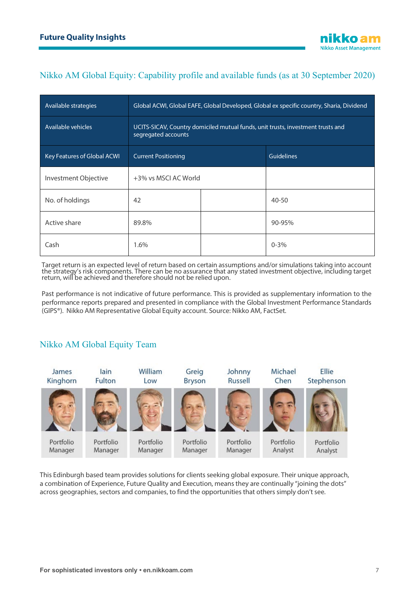# Nikko AM Global Equity: Capability profile and available funds (as at 30 September 2020)

| Available strategies        | Global ACWI, Global EAFE, Global Developed, Global ex specific country, Sharia, Dividend               |  |                   |  |
|-----------------------------|--------------------------------------------------------------------------------------------------------|--|-------------------|--|
| Available vehicles          | UCITS-SICAV, Country domiciled mutual funds, unit trusts, investment trusts and<br>segregated accounts |  |                   |  |
| Key Features of Global ACWI | <b>Current Positioning</b>                                                                             |  | <b>Guidelines</b> |  |
| Investment Objective        | +3% vs MSCI AC World                                                                                   |  |                   |  |
| No. of holdings             | 42                                                                                                     |  | $40 - 50$         |  |
| Active share                | 89.8%                                                                                                  |  | 90-95%            |  |
| Cash                        | 1.6%                                                                                                   |  | $0 - 3\%$         |  |

Target return is an expected level of return based on certain assumptions and/or simulations taking into account the strategy's risk components. There can be no assurance that any stated investment objective, including target return, will be achieved and therefore should not be relied upon.

Past performance is not indicative of future performance. This is provided as supplementary information to the performance reports prepared and presented in compliance with the Global Investment Performance Standards (GIPS®). Nikko AM Representative Global Equity account. Source: Nikko AM, FactSet.

# Nikko AM Global Equity Team



This Edinburgh based team provides solutions for clients seeking global exposure. Their unique approach, a combination of Experience, Future Quality and Execution, means they are continually "joining the dots" across geographies, sectors and companies, to find the opportunities that others simply don't see.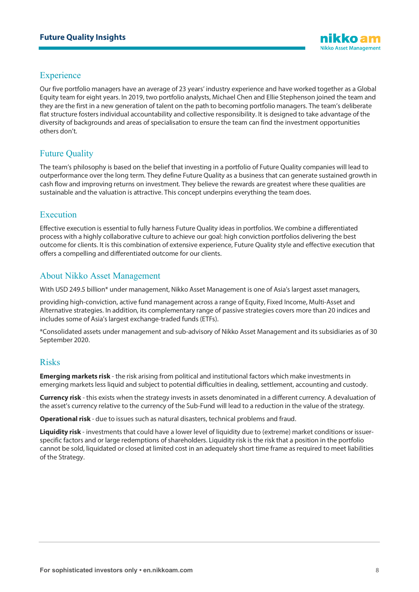## **Experience**

Our five portfolio managers have an average of 23 years' industry experience and have worked together as a Global Equity team for eight years. In 2019, two portfolio analysts, Michael Chen and Ellie Stephenson joined the team and they are the first in a new generation of talent on the path to becoming portfolio managers. The team's deliberate flat structure fosters individual accountability and collective responsibility. It is designed to take advantage of the diversity of backgrounds and areas of specialisation to ensure the team can find the investment opportunities others don't.

## Future Quality

The team's philosophy is based on the belief that investing in a portfolio of Future Quality companies will lead to outperformance over the long term. They define Future Quality as a business that can generate sustained growth in cash flow and improving returns on investment. They believe the rewards are greatest where these qualities are sustainable and the valuation is attractive. This concept underpins everything the team does.

## Execution

Effective execution is essential to fully harness Future Quality ideas in portfolios. We combine a differentiated process with a highly collaborative culture to achieve our goal: high conviction portfolios delivering the best outcome for clients. It is this combination of extensive experience, Future Quality style and effective execution that offers a compelling and differentiated outcome for our clients.

## About Nikko Asset Management

With USD 249.5 billion\* under management, Nikko Asset Management is one of Asia's largest asset managers,

providing high-conviction, active fund management across a range of Equity, Fixed Income, Multi-Asset and Alternative strategies. In addition, its complementary range of passive strategies covers more than 20 indices and includes some of Asia's largest exchange-traded funds (ETFs).

\*Consolidated assets under management and sub-advisory of Nikko Asset Management and its subsidiaries as of 30 September 2020.

#### Risks

**Emerging markets risk** - the risk arising from political and institutional factors which make investments in emerging markets less liquid and subject to potential difficulties in dealing, settlement, accounting and custody.

**Currency risk** - this exists when the strategy invests in assets denominated in a different currency. A devaluation of the asset's currency relative to the currency of the Sub-Fund will lead to a reduction in the value of the strategy.

**Operational risk** - due to issues such as natural disasters, technical problems and fraud.

**Liquidity risk** - investments that could have a lower level of liquidity due to (extreme) market conditions or issuerspecific factors and or large redemptions of shareholders. Liquidity risk is the risk that a position in the portfolio cannot be sold, liquidated or closed at limited cost in an adequately short time frame as required to meet liabilities of the Strategy.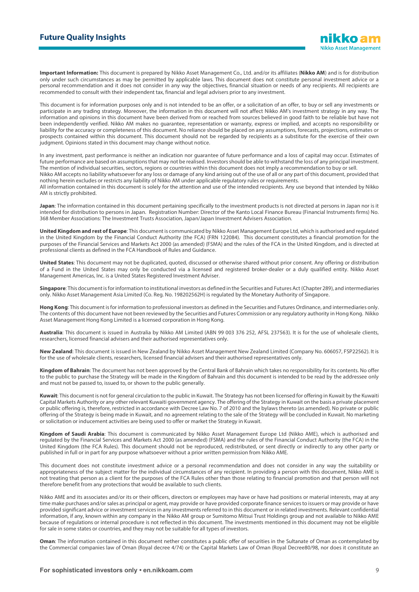**Important Information:** This document is prepared by Nikko Asset Management Co., Ltd. and/or its affiliates (**Nikko AM**) and is for distribution only under such circumstances as may be permitted by applicable laws. This document does not constitute personal investment advice or a personal recommendation and it does not consider in any way the objectives, financial situation or needs of any recipients. All recipients are recommended to consult with their independent tax, financial and legal advisers prior to any investment.

This document is for information purposes only and is not intended to be an offer, or a solicitation of an offer, to buy or sell any investments or participate in any trading strategy. Moreover, the information in this document will not affect Nikko AM's investment strategy in any way. The information and opinions in this document have been derived from or reached from sources believed in good faith to be reliable but have not been independently verified. Nikko AM makes no guarantee, representation or warranty, express or implied, and accepts no responsibility or liability for the accuracy or completeness of this document. No reliance should be placed on any assumptions, forecasts, projections, estimates or prospects contained within this document. This document should not be regarded by recipients as a substitute for the exercise of their own judgment. Opinions stated in this document may change without notice.

In any investment, past performance is neither an indication nor guarantee of future performance and a loss of capital may occur. Estimates of future performance are based on assumptions that may not be realised. Investors should be able to withstand the loss of any principal investment. The mention of individual securities, sectors, regions or countries within this document does not imply a recommendation to buy or sell. Nikko AM accepts no liability whatsoever for any loss or damage of any kind arising out of the use of all or any part of this document, provided that nothing herein excludes or restricts any liability of Nikko AM under applicable regulatory rules or requirements. All information contained in this document is solely for the attention and use of the intended recipients. Any use beyond that intended by Nikko AM is strictly prohibited.

**Japan**: The information contained in this document pertaining specifically to the investment products is not directed at persons in Japan nor is it intended for distribution to persons in Japan. Registration Number: Director of the Kanto Local Finance Bureau (Financial Instruments firms) No. 368 Member Associations: The Investment Trusts Association, Japan/Japan Investment Advisers Association.

**United Kingdom and rest of Europe**: This document is communicated by Nikko Asset Management Europe Ltd, which is authorised and regulated in the United Kingdom by the Financial Conduct Authority (the FCA) (FRN 122084). This document constitutes a financial promotion for the purposes of the Financial Services and Markets Act 2000 (as amended) (FSMA) and the rules of the FCA in the United Kingdom, and is directed at professional clients as defined in the FCA Handbook of Rules and Guidance.

**United States**: This document may not be duplicated, quoted, discussed or otherwise shared without prior consent. Any offering or distribution of a Fund in the United States may only be conducted via a licensed and registered broker-dealer or a duly qualified entity. Nikko Asset Management Americas, Inc. is a United States Registered Investment Adviser.

**Singapore**: This document is for information to institutional investors as defined in the Securities and Futures Act (Chapter 289), and intermediaries only. Nikko Asset Management Asia Limited (Co. Reg. No. 198202562H) is regulated by the Monetary Authority of Singapore.

**Hong Kong**: This document is for information to professional investors as defined in the Securities and Futures Ordinance, and intermediaries only. The contents of this document have not been reviewed by the Securities and Futures Commission or any regulatory authority in Hong Kong. Nikko Asset Management Hong Kong Limited is a licensed corporation in Hong Kong.

**Australia**: This document is issued in Australia by Nikko AM Limited (ABN 99 003 376 252, AFSL 237563). It is for the use of wholesale clients, researchers, licensed financial advisers and their authorised representatives only.

**New Zealand**: This document is issued in New Zealand by Nikko Asset Management New Zealand Limited (Company No. 606057, FSP22562). It is for the use of wholesale clients, researchers, licensed financial advisers and their authorised representatives only.

**Kingdom of Bahrain**: The document has not been approved by the Central Bank of Bahrain which takes no responsibility for its contents. No offer to the public to purchase the Strategy will be made in the Kingdom of Bahrain and this document is intended to be read by the addressee only and must not be passed to, issued to, or shown to the public generally.

**Kuwait**: This document is not for general circulation to the public in Kuwait. The Strategy has not been licensed for offering in Kuwait by the Kuwaiti Capital Markets Authority or any other relevant Kuwaiti government agency. The offering of the Strategy in Kuwait on the basis a private placement or public offering is, therefore, restricted in accordance with Decree Law No. 7 of 2010 and the bylaws thereto (as amended). No private or public offering of the Strategy is being made in Kuwait, and no agreement relating to the sale of the Strategy will be concluded in Kuwait. No marketing or solicitation or inducement activities are being used to offer or market the Strategy in Kuwait.

**Kingdom of Saudi Arabia**: This document is communicated by Nikko Asset Management Europe Ltd (Nikko AME), which is authorised and regulated by the Financial Services and Markets Act 2000 (as amended) (FSMA) and the rules of the Financial Conduct Authority (the FCA) in the United Kingdom (the FCA Rules). This document should not be reproduced, redistributed, or sent directly or indirectly to any other party or published in full or in part for any purpose whatsoever without a prior written permission from Nikko AME.

This document does not constitute investment advice or a personal recommendation and does not consider in any way the suitability or appropriateness of the subject matter for the individual circumstances of any recipient. In providing a person with this document, Nikko AME is not treating that person as a client for the purposes of the FCA Rules other than those relating to financial promotion and that person will not therefore benefit from any protections that would be available to such clients.

Nikko AME and its associates and/or its or their officers, directors or employees may have or have had positions or material interests, may at any time make purchases and/or sales as principal or agent, may provide or have provided corporate finance services to issuers or may provide or have provided significant advice or investment services in any investments referred to in this document or in related investments. Relevant confidential information, if any, known within any company in the Nikko AM group or Sumitomo Mitsui Trust Holdings group and not available to Nikko AME because of regulations or internal procedure is not reflected in this document. The investments mentioned in this document may not be eligible for sale in some states or countries, and they may not be suitable for all types of investors.

**Oman**: The information contained in this document nether constitutes a public offer of securities in the Sultanate of Oman as contemplated by the Commercial companies law of Oman (Royal decree 4/74) or the Capital Markets Law of Oman (Royal Decree80/98, nor does it constitute an